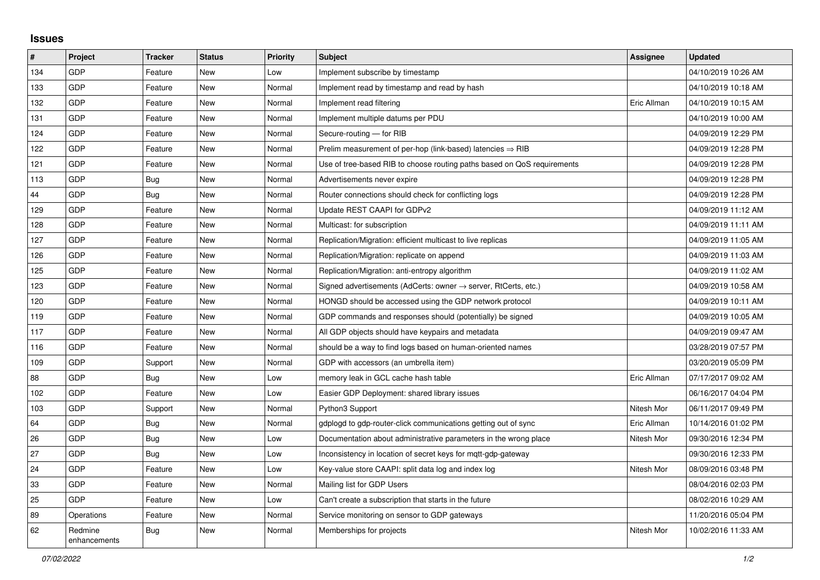## **Issues**

| #   | Project                 | <b>Tracker</b> | <b>Status</b> | Priority | <b>Subject</b>                                                             | Assignee    | <b>Updated</b>      |
|-----|-------------------------|----------------|---------------|----------|----------------------------------------------------------------------------|-------------|---------------------|
| 134 | GDP                     | Feature        | <b>New</b>    | Low      | Implement subscribe by timestamp                                           |             | 04/10/2019 10:26 AM |
| 133 | GDP                     | Feature        | <b>New</b>    | Normal   | Implement read by timestamp and read by hash                               |             | 04/10/2019 10:18 AM |
| 132 | GDP                     | Feature        | New           | Normal   | Implement read filtering                                                   | Eric Allman | 04/10/2019 10:15 AM |
| 131 | GDP                     | Feature        | New           | Normal   | Implement multiple datums per PDU                                          |             | 04/10/2019 10:00 AM |
| 124 | GDP                     | Feature        | <b>New</b>    | Normal   | Secure-routing - for RIB                                                   |             | 04/09/2019 12:29 PM |
| 122 | GDP                     | Feature        | <b>New</b>    | Normal   | Prelim measurement of per-hop (link-based) latencies $\Rightarrow$ RIB     |             | 04/09/2019 12:28 PM |
| 121 | GDP                     | Feature        | New           | Normal   | Use of tree-based RIB to choose routing paths based on QoS requirements    |             | 04/09/2019 12:28 PM |
| 113 | GDP                     | Bug            | <b>New</b>    | Normal   | Advertisements never expire                                                |             | 04/09/2019 12:28 PM |
| 44  | GDP                     | <b>Bug</b>     | <b>New</b>    | Normal   | Router connections should check for conflicting logs                       |             | 04/09/2019 12:28 PM |
| 129 | GDP                     | Feature        | <b>New</b>    | Normal   | Update REST CAAPI for GDPv2                                                |             | 04/09/2019 11:12 AM |
| 128 | GDP                     | Feature        | <b>New</b>    | Normal   | Multicast: for subscription                                                |             | 04/09/2019 11:11 AM |
| 127 | GDP                     | Feature        | <b>New</b>    | Normal   | Replication/Migration: efficient multicast to live replicas                |             | 04/09/2019 11:05 AM |
| 126 | GDP                     | Feature        | <b>New</b>    | Normal   | Replication/Migration: replicate on append                                 |             | 04/09/2019 11:03 AM |
| 125 | GDP                     | Feature        | <b>New</b>    | Normal   | Replication/Migration: anti-entropy algorithm                              |             | 04/09/2019 11:02 AM |
| 123 | <b>GDP</b>              | Feature        | <b>New</b>    | Normal   | Signed advertisements (AdCerts: owner $\rightarrow$ server, RtCerts, etc.) |             | 04/09/2019 10:58 AM |
| 120 | GDP                     | Feature        | New           | Normal   | HONGD should be accessed using the GDP network protocol                    |             | 04/09/2019 10:11 AM |
| 119 | GDP                     | Feature        | <b>New</b>    | Normal   | GDP commands and responses should (potentially) be signed                  |             | 04/09/2019 10:05 AM |
| 117 | GDP                     | Feature        | New           | Normal   | All GDP objects should have keypairs and metadata                          |             | 04/09/2019 09:47 AM |
| 116 | GDP                     | Feature        | New           | Normal   | should be a way to find logs based on human-oriented names                 |             | 03/28/2019 07:57 PM |
| 109 | GDP                     | Support        | <b>New</b>    | Normal   | GDP with accessors (an umbrella item)                                      |             | 03/20/2019 05:09 PM |
| 88  | GDP                     | <b>Bug</b>     | <b>New</b>    | Low      | memory leak in GCL cache hash table                                        | Eric Allman | 07/17/2017 09:02 AM |
| 102 | GDP                     | Feature        | <b>New</b>    | Low      | Easier GDP Deployment: shared library issues                               |             | 06/16/2017 04:04 PM |
| 103 | GDP                     | Support        | New           | Normal   | Python3 Support                                                            | Nitesh Mor  | 06/11/2017 09:49 PM |
| 64  | GDP                     | Bug            | <b>New</b>    | Normal   | gdplogd to gdp-router-click communications getting out of sync             | Eric Allman | 10/14/2016 01:02 PM |
| 26  | GDP                     | <b>Bug</b>     | <b>New</b>    | Low      | Documentation about administrative parameters in the wrong place           | Nitesh Mor  | 09/30/2016 12:34 PM |
| 27  | GDP                     | <b>Bug</b>     | <b>New</b>    | Low      | Inconsistency in location of secret keys for mqtt-gdp-gateway              |             | 09/30/2016 12:33 PM |
| 24  | GDP                     | Feature        | <b>New</b>    | Low      | Key-value store CAAPI: split data log and index log                        | Nitesh Mor  | 08/09/2016 03:48 PM |
| 33  | GDP                     | Feature        | <b>New</b>    | Normal   | Mailing list for GDP Users                                                 |             | 08/04/2016 02:03 PM |
| 25  | GDP                     | Feature        | <b>New</b>    | Low      | Can't create a subscription that starts in the future                      |             | 08/02/2016 10:29 AM |
| 89  | Operations              | Feature        | <b>New</b>    | Normal   | Service monitoring on sensor to GDP gateways                               |             | 11/20/2016 05:04 PM |
| 62  | Redmine<br>enhancements | Bug            | <b>New</b>    | Normal   | Memberships for projects                                                   | Nitesh Mor  | 10/02/2016 11:33 AM |